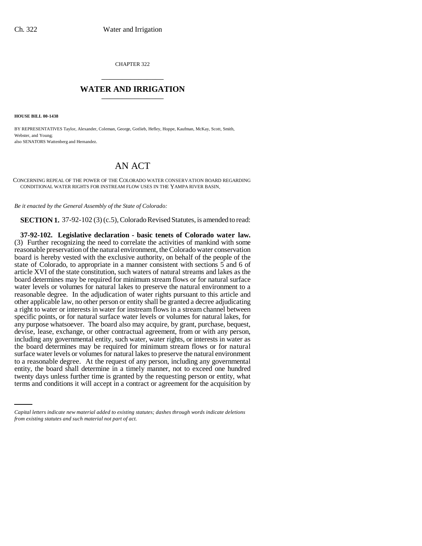CHAPTER 322 \_\_\_\_\_\_\_\_\_\_\_\_\_\_\_

## **WATER AND IRRIGATION** \_\_\_\_\_\_\_\_\_\_\_\_\_\_\_

**HOUSE BILL 00-1438** 

BY REPRESENTATIVES Taylor, Alexander, Coleman, George, Gotlieb, Hefley, Hoppe, Kaufman, McKay, Scott, Smith, Webster, and Young; also SENATORS Wattenberg and Hernandez.

## AN ACT

CONCERNING REPEAL OF THE POWER OF THE COLORADO WATER CONSERVATION BOARD REGARDING CONDITIONAL WATER RIGHTS FOR INSTREAM FLOW USES IN THE YAMPA RIVER BASIN.

*Be it enacted by the General Assembly of the State of Colorado:*

**SECTION 1.** 37-92-102 (3) (c.5), Colorado Revised Statutes, is amended to read:

entity, the board shall determine in a timely manner, not to exceed one hundred **37-92-102. Legislative declaration - basic tenets of Colorado water law.** (3) Further recognizing the need to correlate the activities of mankind with some reasonable preservation of the natural environment, the Colorado water conservation board is hereby vested with the exclusive authority, on behalf of the people of the state of Colorado, to appropriate in a manner consistent with sections 5 and 6 of article XVI of the state constitution, such waters of natural streams and lakes as the board determines may be required for minimum stream flows or for natural surface water levels or volumes for natural lakes to preserve the natural environment to a reasonable degree. In the adjudication of water rights pursuant to this article and other applicable law, no other person or entity shall be granted a decree adjudicating a right to water or interests in water for instream flows in a stream channel between specific points, or for natural surface water levels or volumes for natural lakes, for any purpose whatsoever. The board also may acquire, by grant, purchase, bequest, devise, lease, exchange, or other contractual agreement, from or with any person, including any governmental entity, such water, water rights, or interests in water as the board determines may be required for minimum stream flows or for natural surface water levels or volumes for natural lakes to preserve the natural environment to a reasonable degree. At the request of any person, including any governmental twenty days unless further time is granted by the requesting person or entity, what terms and conditions it will accept in a contract or agreement for the acquisition by

*Capital letters indicate new material added to existing statutes; dashes through words indicate deletions from existing statutes and such material not part of act.*